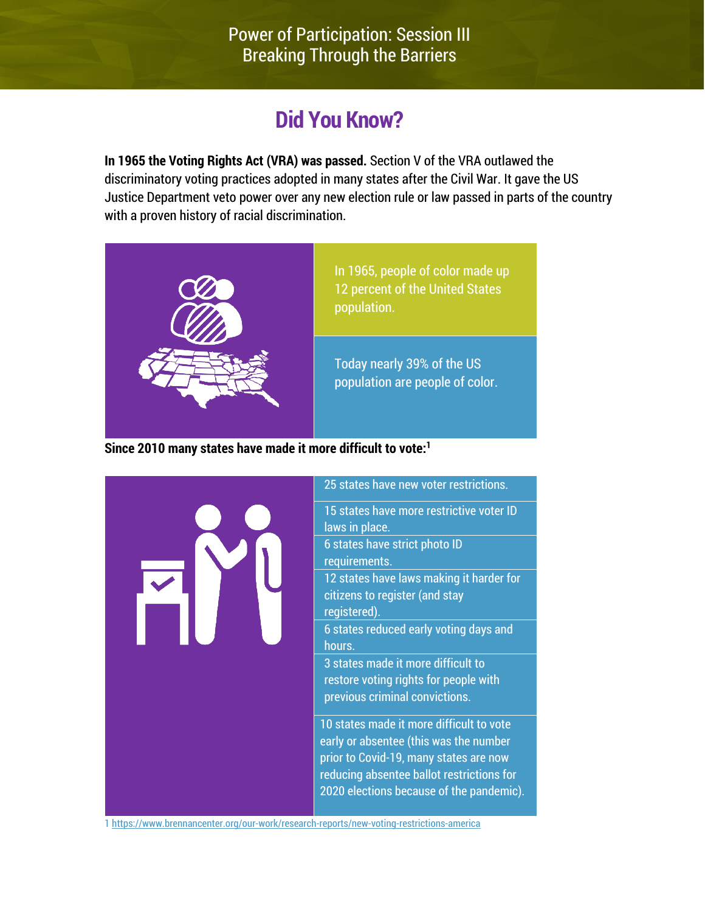# **Did You Know?**

**In 1965 the Voting Rights Act (VRA) was passed.** Section V of the VRA outlawed the discriminatory voting practices adopted in many states after the Civil War. It gave the US Justice Department veto power over any new election rule or law passed in parts of the country with a proven history of racial discrimination.



In 1965, people of color made up 12 percent of the United States population.

Today nearly 39% of the US population are people of color.

**Since 2010 many states have made it more difficult to vote:1**



[1 https://www.brennancenter.org/our-work/research-reports/new-voting-restrictions-america](https://www.brennancenter.org/our-work/research-reports/new-voting-restrictions-america)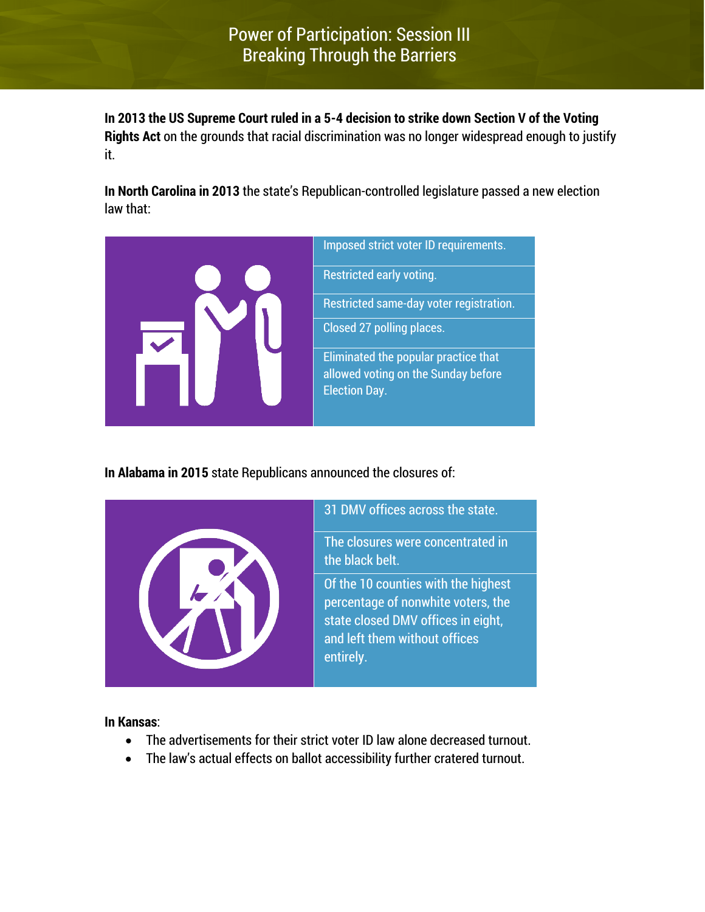**In 2013 the US Supreme Court ruled in a 5-4 decision to strike down Section V of the Voting Rights Act** on the grounds that racial discrimination was no longer widespread enough to justify it.

**In North Carolina in 2013** the state's Republican-controlled legislature passed a new election law that:



**In Alabama in 2015** state Republicans announced the closures of:



**In Kansas**:

- The advertisements for their strict voter ID law alone decreased turnout.
- The law's actual effects on ballot accessibility further cratered turnout.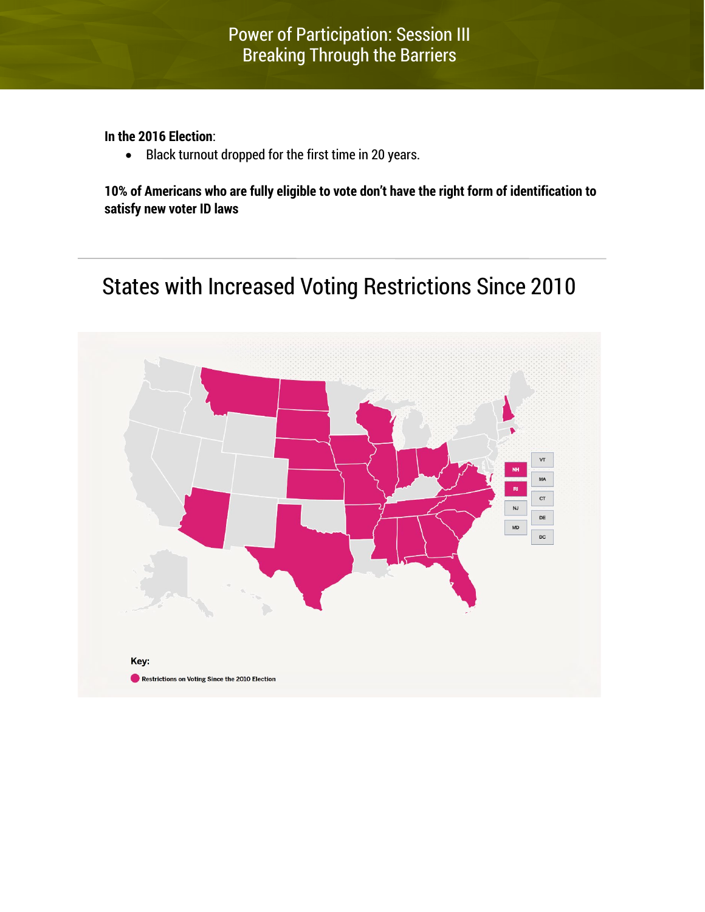**In the 2016 Election**:

• Black turnout dropped for the first time in 20 years.

**10% of Americans who are fully eligible to vote don't have the right form of identification to satisfy new voter ID laws**

## States with Increased Voting Restrictions Since 2010

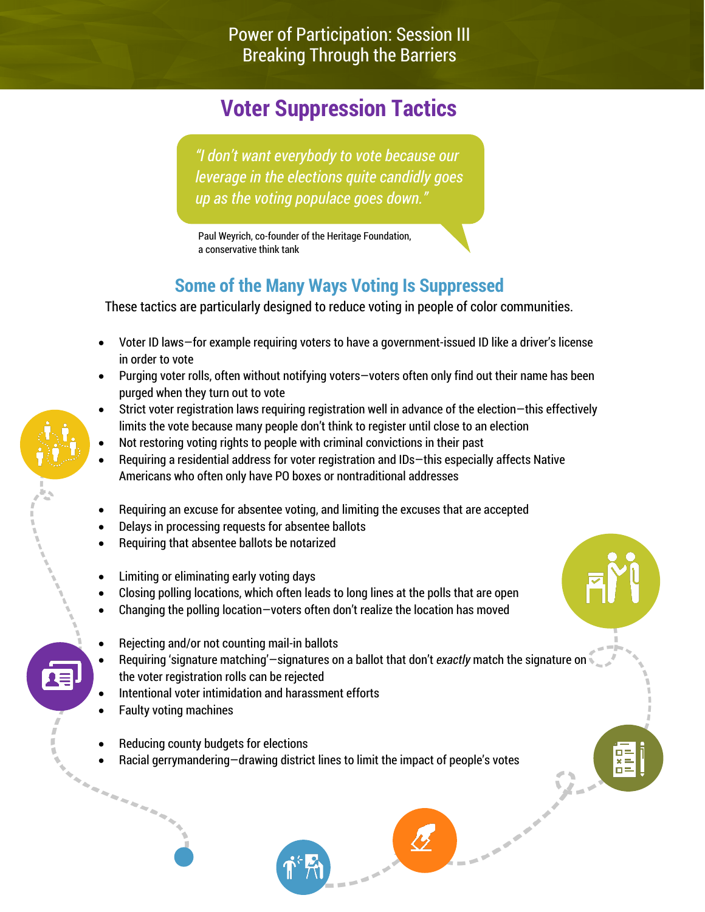# **Voter Suppression Tactics**

*"I don't want everybody to vote because our leverage in the elections quite candidly goes up as the voting populace goes down."*

Paul Weyrich, co-founder of the Heritage Foundation, a conservative think tank

## **Some of the Many Ways Voting Is Suppressed**

These tactics are particularly designed to reduce voting in people of color communities.

- Voter ID laws—for example requiring voters to have a government-issued ID like a driver's license in order to vote
- Purging voter rolls, often without notifying voters—voters often only find out their name has been purged when they turn out to vote
- Strict voter registration laws requiring registration well in advance of the election—this effectively limits the vote because many people don't think to register until close to an election
- Not restoring voting rights to people with criminal convictions in their past
- Requiring a residential address for voter registration and IDs—this especially affects Native Americans who often only have PO boxes or nontraditional addresses
- Requiring an excuse for absentee voting, and limiting the excuses that are accepted
- Delays in processing requests for absentee ballots
- Requiring that absentee ballots be notarized
- Limiting or eliminating early voting days
- Closing polling locations, which often leads to long lines at the polls that are open
- Changing the polling location—voters often don't realize the location has moved
- Rejecting and/or not counting mail-in ballots
- Requiring 'signature matching'—signatures on a ballot that don't *exactly* match the signature on the voter registration rolls can be rejected
- Intentional voter intimidation and harassment efforts
- Faulty voting machines

i karamatan ing Kabupatèn Kabupatèn Kabupatèn Kabupatèn Kabupatèn Kabupatèn Kabupatèn Kabupatèn Kabupatèn Kabu

- Reducing county budgets for elections
- Racial gerrymandering—drawing district lines to limit the impact of people's votes

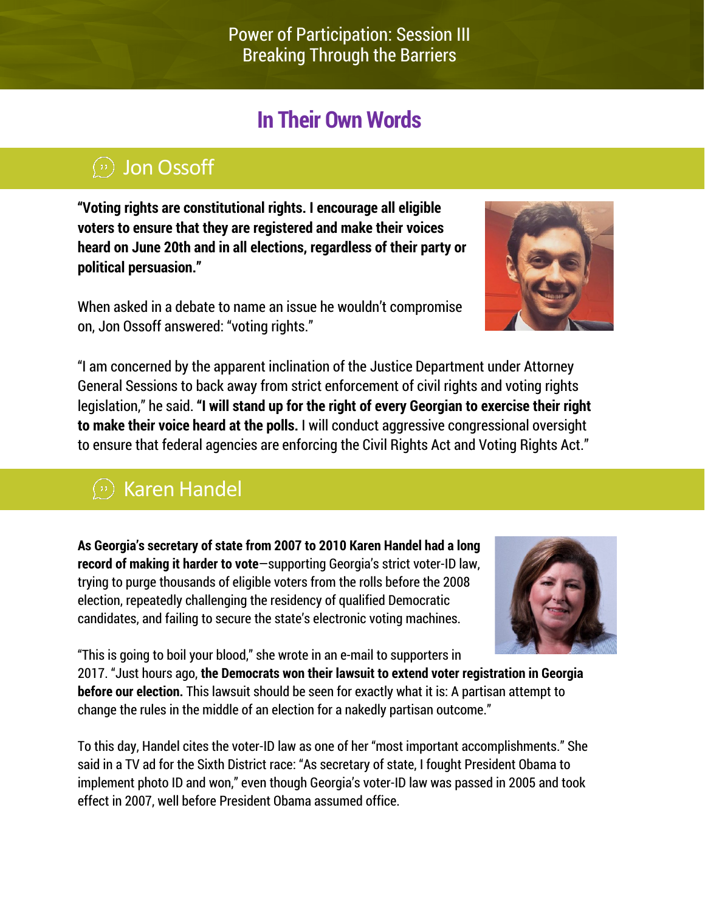# **In Their Own Words**

## Jon Ossoff

**"Voting rights are constitutional rights. I encourage all eligible voters to ensure that they are registered and make their voices heard on June 20th and in all elections, regardless of their party or political persuasion."**

When asked in a debate to name an issue he wouldn't compromise on, Jon Ossoff answered: "voting rights."



"I am concerned by the apparent inclination of the Justice Department under Attorney General Sessions to back away from strict enforcement of civil rights and voting rights legislation," he said. **"I will stand up for the right of every Georgian to exercise their right to make their voice heard at the polls.** I will conduct aggressive congressional oversight to ensure that federal agencies are enforcing the Civil Rights Act and Voting Rights Act."

# $\omega$  Karen Handel

**As Georgia's secretary of state from 2007 to 2010 Karen Handel had a long record of making it harder to vote**—supporting Georgia's strict voter-ID law, trying to purge thousands of eligible voters from the rolls before the 2008 election, repeatedly challenging the residency of qualified Democratic candidates, and failing to secure the state's electronic voting machines.



"This is going to boil your blood," she wrote in an e-mail to supporters in 2017. "Just hours ago, **the Democrats won their lawsuit to extend voter registration in Georgia before our election.** This lawsuit should be seen for exactly what it is: A partisan attempt to change the rules in the middle of an election for a nakedly partisan outcome."

To this day, Handel cites the voter-ID law as one of her "most important accomplishments." She said in a TV ad for the Sixth District race: "As secretary of state, I fought President Obama to implement photo ID and won," even though Georgia's voter-ID law was passed in 2005 and took effect in 2007, well before President Obama assumed office.